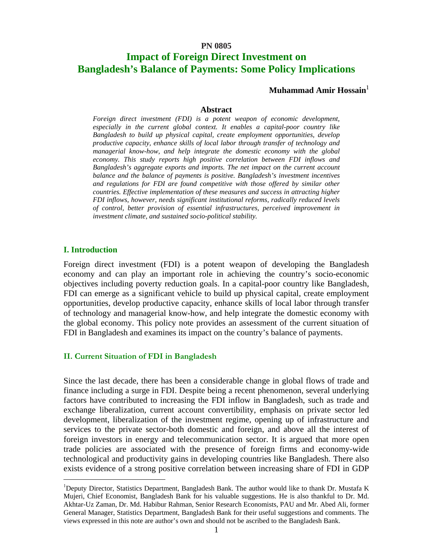#### **PN 0805**

# **Impact of Foreign Direct Investment on Bangladesh's Balance of Payments: Some Policy Implications**

**Muhammad Amir Hossain**<sup>1</sup>

#### **Abstract**

*Foreign direct investment (FDI) is a potent weapon of economic development, especially in the current global context. It enables a capital-poor country like Bangladesh to build up physical capital, create employment opportunities, develop productive capacity, enhance skills of local labor through transfer of technology and managerial know-how, and help integrate the domestic economy with the global economy. This study reports high positive correlation between FDI inflows and Bangladesh's aggregate exports and imports. The net impact on the current account balance and the balance of payments is positive. Bangladesh's investment incentives and regulations for FDI are found competitive with those offered by similar other countries. Effective implementation of these measures and success in attracting higher FDI inflows, however, needs significant institutional reforms, radically reduced levels of control, better provision of essential infrastructures, perceived improvement in investment climate, and sustained socio-political stability.* 

### **I. Introduction**

 $\overline{a}$ 

Foreign direct investment (FDI) is a potent weapon of developing the Bangladesh economy and can play an important role in achieving the country's socio-economic objectives including poverty reduction goals. In a capital-poor country like Bangladesh, FDI can emerge as a significant vehicle to build up physical capital, create employment opportunities, develop productive capacity, enhance skills of local labor through transfer of technology and managerial know-how, and help integrate the domestic economy with the global economy. This policy note provides an assessment of the current situation of FDI in Bangladesh and examines its impact on the country's balance of payments.

#### **II. Current Situation of FDI in Bangladesh**

Since the last decade, there has been a considerable change in global flows of trade and finance including a surge in FDI. Despite being a recent phenomenon, several underlying factors have contributed to increasing the FDI inflow in Bangladesh, such as trade and exchange liberalization, current account convertibility, emphasis on private sector led development, liberalization of the investment regime, opening up of infrastructure and services to the private sector-both domestic and foreign, and above all the interest of foreign investors in energy and telecommunication sector. It is argued that more open trade policies are associated with the presence of foreign firms and economy-wide technological and productivity gains in developing countries like Bangladesh. There also exists evidence of a strong positive correlation between increasing share of FDI in GDP

<sup>&</sup>lt;sup>1</sup>Deputy Director, Statistics Department, Bangladesh Bank. The author would like to thank Dr. Mustafa K Mujeri, Chief Economist, Bangladesh Bank for his valuable suggestions. He is also thankful to Dr. Md. Akhtar-Uz Zaman, Dr. Md. Habibur Rahman, Senior Research Economists, PAU and Mr. Abed Ali, former General Manager, Statistics Department, Bangladesh Bank for their useful suggestions and comments. The views expressed in this note are author's own and should not be ascribed to the Bangladesh Bank.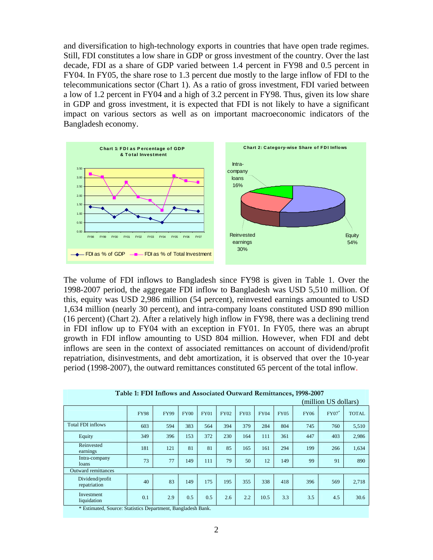and diversification to high-technology exports in countries that have open trade regimes. Still, FDI constitutes a low share in GDP or gross investment of the country. Over the last decade, FDI as a share of GDP varied between 1.4 percent in FY98 and 0.5 percent in FY04. In FY05, the share rose to 1.3 percent due mostly to the large inflow of FDI to the telecommunications sector (Chart 1). As a ratio of gross investment, FDI varied between a low of 1.2 percent in FY04 and a high of 3.2 percent in FY98. Thus, given its low share in GDP and gross investment, it is expected that FDI is not likely to have a significant impact on various sectors as well as on important macroeconomic indicators of the Bangladesh economy.



The volume of FDI inflows to Bangladesh since FY98 is given in Table 1. Over the 1998-2007 period, the aggregate FDI inflow to Bangladesh was USD 5,510 million. Of this, equity was USD 2,986 million (54 percent), reinvested earnings amounted to USD 1,634 million (nearly 30 percent), and intra-company loans constituted USD 890 million (16 percent) (Chart 2). After a relatively high inflow in FY98, there was a declining trend in FDI inflow up to FY04 with an exception in FY01. In FY05, there was an abrupt growth in FDI inflow amounting to USD 804 million. However, when FDI and debt inflows are seen in the context of associated remittances on account of dividend/profit repatriation, disinvestments, and debt amortization, it is observed that over the 10-year period (1998-2007), the outward remittances constituted 65 percent of the total inflow.

|                                 | (million US dollars) |             |             |             |             |             |             |             |             |          |              |
|---------------------------------|----------------------|-------------|-------------|-------------|-------------|-------------|-------------|-------------|-------------|----------|--------------|
|                                 | <b>FY98</b>          | <b>FY99</b> | <b>FY00</b> | <b>FY01</b> | <b>FY02</b> | <b>FY03</b> | <b>FY04</b> | <b>FY05</b> | <b>FY06</b> | $FY07^*$ | <b>TOTAL</b> |
| <b>Total FDI inflows</b>        | 603                  | 594         | 383         | 564         | 394         | 379         | 284         | 804         | 745         | 760      | 5,510        |
| Equity                          | 349                  | 396         | 153         | 372         | 230         | 164         | 111         | 361         | 447         | 403      | 2,986        |
| Reinvested<br>earnings          | 181                  | 121         | 81          | 81          | 85          | 165         | 161         | 294         | 199         | 266      | 1,634        |
| Intra-company<br>loans          | 73                   | 77          | 149         | 111         | 79          | 50          | 12          | 149         | 99          | 91       | 890          |
| <b>Outward remittances</b>      |                      |             |             |             |             |             |             |             |             |          |              |
| Dividend/profit<br>repatriation | 40                   | 83          | 149         | 175         | 195         | 355         | 338         | 418         | 396         | 569      | 2,718        |
| Investment<br>liquidation       | 0.1                  | 2.9         | 0.5         | 0.5         | 2.6         | 2.2         | 10.5        | 3.3         | 3.5         | 4.5      | 30.6         |

| Table 1: FDI Inflows and Associated Outward Remittances, 1998-2007 |  |  |
|--------------------------------------------------------------------|--|--|
|--------------------------------------------------------------------|--|--|

\* Estimated, Source: Statistics Department, Bangladesh Bank.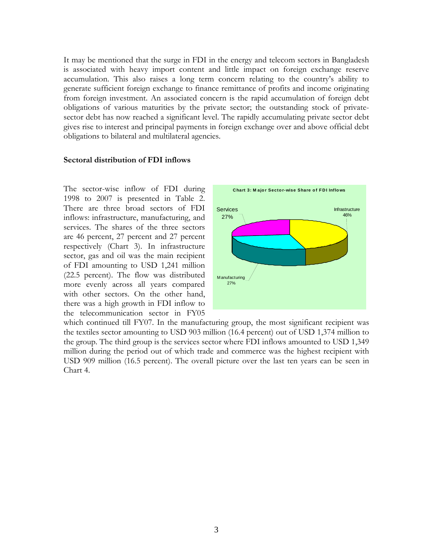It may be mentioned that the surge in FDI in the energy and telecom sectors in Bangladesh is associated with heavy import content and little impact on foreign exchange reserve accumulation. This also raises a long term concern relating to the country's ability to generate sufficient foreign exchange to finance remittance of profits and income originating from foreign investment. An associated concern is the rapid accumulation of foreign debt obligations of various maturities by the private sector; the outstanding stock of privatesector debt has now reached a significant level. The rapidly accumulating private sector debt gives rise to interest and principal payments in foreign exchange over and above official debt obligations to bilateral and multilateral agencies.

#### **Sectoral distribution of FDI inflows**

The sector-wise inflow of FDI during 1998 to 2007 is presented in Table 2. There are three broad sectors of FDI inflows: infrastructure, manufacturing, and services. The shares of the three sectors are 46 percent, 27 percent and 27 percent respectively (Chart 3). In infrastructure sector, gas and oil was the main recipient of FDI amounting to USD 1,241 million (22.5 percent). The flow was distributed more evenly across all years compared with other sectors. On the other hand, there was a high growth in FDI inflow to the telecommunication sector in FY05



which continued till FY07. In the manufacturing group, the most significant recipient was the textiles sector amounting to USD 903 million (16.4 percent) out of USD 1,374 million to the group. The third group is the services sector where FDI inflows amounted to USD 1,349 million during the period out of which trade and commerce was the highest recipient with USD 909 million (16.5 percent). The overall picture over the last ten years can be seen in Chart 4.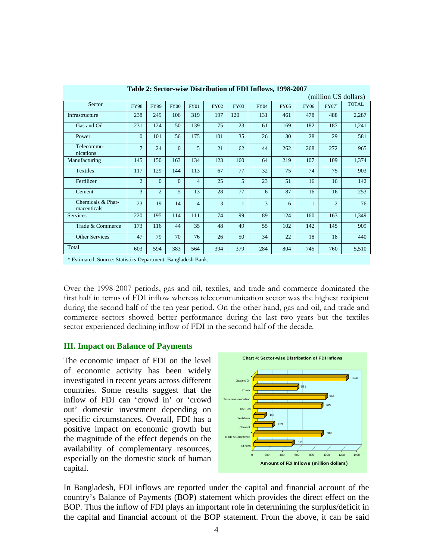| (million US dollars)             |                |                |             |                |             |                |             |             |              |                |              |
|----------------------------------|----------------|----------------|-------------|----------------|-------------|----------------|-------------|-------------|--------------|----------------|--------------|
| Sector                           | <b>FY98</b>    | <b>FY99</b>    | <b>FY00</b> | <b>FY01</b>    | <b>FY02</b> | <b>FY03</b>    | <b>FY04</b> | <b>FY05</b> | <b>FY06</b>  | $FY07^*$       | <b>TOTAL</b> |
| Infrastructure                   | 238            | 249            | 106         | 319            | 197         | 120            | 131         | 461         | 478          | 488            | 2,287        |
| Gas and Oil                      | 231            | 124            | 50          | 139            | 75          | 23             | 61          | 169         | 182          | 187            | 1,241        |
| Power                            | $\overline{0}$ | 101            | 56          | 175            | 101         | 35             | 26          | 30          | 28           | 29             | 581          |
| Telecommu-<br>nications          | $\tau$         | 24             | $\Omega$    | 5              | 21          | 62             | 44          | 262         | 268          | 272            | 965          |
| Manufacturing                    | 145            | 150            | 163         | 134            | 123         | 160            | 64          | 219         | 107          | 109            | 1,374        |
| <b>Textiles</b>                  | 117            | 129            | 144         | 113            | 67          | 77             | 32          | 75          | 74           | 75             | 903          |
| Fertilizer                       | $\overline{2}$ | $\Omega$       | $\Omega$    | $\overline{4}$ | 25          | $\overline{5}$ | 23          | 51          | 16           | 16             | 142          |
| Cement                           | $\mathcal{R}$  | $\overline{2}$ | 5           | 13             | 28          | 77             | 6           | 87          | 16           | 16             | 253          |
| Chemicals & Phar-<br>maceuticals | 23             | 19             | 14          | $\overline{4}$ | 3           | $\mathbf{1}$   | 3           | 6           | $\mathbf{1}$ | $\overline{c}$ | 76           |
| <b>Services</b>                  | 220            | 195            | 114         | 111            | 74          | 99             | 89          | 124         | 160          | 163            | 1,349        |
| Trade & Commerce                 | 173            | 116            | 44          | 35             | 48          | 49             | 55          | 102         | 142          | 145            | 909          |
| <b>Other Services</b>            | 47             | 79             | 70          | 76             | 26          | 50             | 34          | 22          | 18           | 18             | 440          |
| Total                            | 603            | 594            | 383         | 564            | 394         | 379            | 284         | 804         | 745          | 760            | 5,510        |

**Table 2: Sector-wise Distribution of FDI Inflows, 1998-2007** 

\* Estimated, Source: Statistics Department, Bangladesh Bank.

Over the 1998-2007 periods, gas and oil, textiles, and trade and commerce dominated the first half in terms of FDI inflow whereas telecommunication sector was the highest recipient during the second half of the ten year period. On the other hand, gas and oil, and trade and commerce sectors showed better performance during the last two years but the textiles sector experienced declining inflow of FDI in the second half of the decade.

## **III. Impact on Balance of Payments**

The economic impact of FDI on the level of economic activity has been widely investigated in recent years across different countries. Some results suggest that the inflow of FDI can 'crowd in' or 'crowd out' domestic investment depending on specific circumstances. Overall, FDI has a positive impact on economic growth but the magnitude of the effect depends on the availability of complementary resources, especially on the domestic stock of human capital.



In Bangladesh, FDI inflows are reported under the capital and financial account of the country's Balance of Payments (BOP) statement which provides the direct effect on the BOP. Thus the inflow of FDI plays an important role in determining the surplus/deficit in the capital and financial account of the BOP statement. From the above, it can be said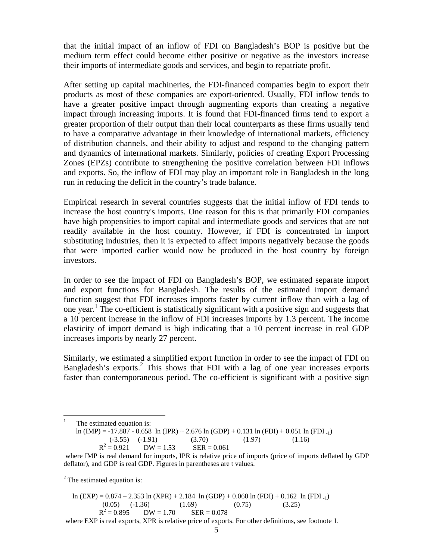that the initial impact of an inflow of FDI on Bangladesh's BOP is positive but the medium term effect could become either positive or negative as the investors increase their imports of intermediate goods and services, and begin to repatriate profit.

After setting up capital machineries, the FDI-financed companies begin to export their products as most of these companies are export-oriented. Usually, FDI inflow tends to have a greater positive impact through augmenting exports than creating a negative impact through increasing imports. It is found that FDI-financed firms tend to export a greater proportion of their output than their local counterparts as these firms usually tend to have a comparative advantage in their knowledge of international markets, efficiency of distribution channels, and their ability to adjust and respond to the changing pattern and dynamics of international markets. Similarly, policies of creating Export Processing Zones (EPZs) contribute to strengthening the positive correlation between FDI inflows and exports. So, the inflow of FDI may play an important role in Bangladesh in the long run in reducing the deficit in the country's trade balance.

Empirical research in several countries suggests that the initial inflow of FDI tends to increase the host country's imports. One reason for this is that primarily FDI companies have high propensities to import capital and intermediate goods and services that are not readily available in the host country. However, if FDI is concentrated in import substituting industries, then it is expected to affect imports negatively because the goods that were imported earlier would now be produced in the host country by foreign investors.

In order to see the impact of FDI on Bangladesh's BOP, we estimated separate import and export functions for Bangladesh. The results of the estimated import demand function suggest that FDI increases imports faster by current inflow than with a lag of one year.<sup>1</sup> The co-efficient is statistically significant with a positive sign and suggests that a 10 percent increase in the inflow of FDI increases imports by 1.3 percent. The income elasticity of import demand is high indicating that a 10 percent increase in real GDP increases imports by nearly 27 percent.

Similarly, we estimated a simplified export function in order to see the impact of FDI on Bangladesh's exports.<sup>2</sup> This shows that FDI with a lag of one year increases exports faster than contemporaneous period. The co-efficient is significant with a positive sign

 $\frac{1}{1}$  The estimated equation is: ln (IMP) = -17.887 - 0.658 ln (IPR) + 2.676 ln (GDP) + 0.131 ln (FDI) + 0.051 ln (FDI -1)  $(-3.55)$   $(-1.91)$   $(3.70)$   $(1.97)$   $(1.16)$  $R^2 = 0.921$  $DW = 1.53$   $SER = 0.061$ where IMP is real demand for imports, IPR is relative price of imports (price of imports deflated by GDP deflator), and GDP is real GDP. Figures in parentheses are t values.

 $2^2$  The estimated equation is:

ln (EXP) =  $0.874 - 2.353 \ln (XPR) + 2.184 \ln (GDP) + 0.060 \ln (FDI) + 0.162 \ln (FDI_{-1})$ <br>(0.05) (-1.36) (1.69) (0.75) (3.25)  $(0.05)$   $(-1.36)$   $(1.69)$   $(0.75)$   $(3.25)$  $R^2 = 0.895$  $DW = 1.70$  SER = 0.078 where EXP is real exports, XPR is relative price of exports. For other definitions, see footnote 1.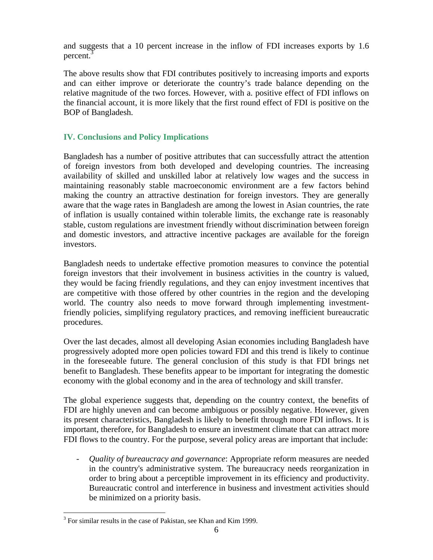and suggests that a 10 percent increase in the inflow of FDI increases exports by 1.6 percent.<sup>3</sup>

The above results show that FDI contributes positively to increasing imports and exports and can either improve or deteriorate the country's trade balance depending on the relative magnitude of the two forces. However, with a. positive effect of FDI inflows on the financial account, it is more likely that the first round effect of FDI is positive on the BOP of Bangladesh.

# **IV. Conclusions and Policy Implications**

Bangladesh has a number of positive attributes that can successfully attract the attention of foreign investors from both developed and developing countries. The increasing availability of skilled and unskilled labor at relatively low wages and the success in maintaining reasonably stable macroeconomic environment are a few factors behind making the country an attractive destination for foreign investors. They are generally aware that the wage rates in Bangladesh are among the lowest in Asian countries, the rate of inflation is usually contained within tolerable limits, the exchange rate is reasonably stable, custom regulations are investment friendly without discrimination between foreign and domestic investors, and attractive incentive packages are available for the foreign investors.

Bangladesh needs to undertake effective promotion measures to convince the potential foreign investors that their involvement in business activities in the country is valued, they would be facing friendly regulations, and they can enjoy investment incentives that are competitive with those offered by other countries in the region and the developing world. The country also needs to move forward through implementing investmentfriendly policies, simplifying regulatory practices, and removing inefficient bureaucratic procedures.

Over the last decades, almost all developing Asian economies including Bangladesh have progressively adopted more open policies toward FDI and this trend is likely to continue in the foreseeable future. The general conclusion of this study is that FDI brings net benefit to Bangladesh. These benefits appear to be important for integrating the domestic economy with the global economy and in the area of technology and skill transfer.

The global experience suggests that, depending on the country context, the benefits of FDI are highly uneven and can become ambiguous or possibly negative. However, given its present characteristics, Bangladesh is likely to benefit through more FDI inflows. It is important, therefore, for Bangladesh to ensure an investment climate that can attract more FDI flows to the country. For the purpose, several policy areas are important that include:

- *Quality of bureaucracy and governance*: Appropriate reform measures are needed in the country's administrative system. The bureaucracy needs reorganization in order to bring about a perceptible improvement in its efficiency and productivity. Bureaucratic control and interference in business and investment activities should be minimized on a priority basis.

 $\overline{a}$ <sup>3</sup> For similar results in the case of Pakistan, see Khan and Kim 1999.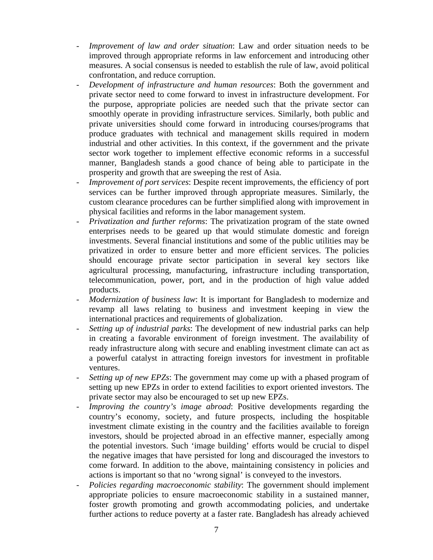- *Improvement of law and order situation*: Law and order situation needs to be improved through appropriate reforms in law enforcement and introducing other measures. A social consensus is needed to establish the rule of law, avoid political confrontation, and reduce corruption.
- *Development of infrastructure and human resources*: Both the government and private sector need to come forward to invest in infrastructure development. For the purpose, appropriate policies are needed such that the private sector can smoothly operate in providing infrastructure services. Similarly, both public and private universities should come forward in introducing courses/programs that produce graduates with technical and management skills required in modern industrial and other activities. In this context, if the government and the private sector work together to implement effective economic reforms in a successful manner, Bangladesh stands a good chance of being able to participate in the prosperity and growth that are sweeping the rest of Asia.
- *Improvement of port services*: Despite recent improvements, the efficiency of port services can be further improved through appropriate measures. Similarly, the custom clearance procedures can be further simplified along with improvement in physical facilities and reforms in the labor management system.
- *Privatization and further reforms*: The privatization program of the state owned enterprises needs to be geared up that would stimulate domestic and foreign investments. Several financial institutions and some of the public utilities may be privatized in order to ensure better and more efficient services. The policies should encourage private sector participation in several key sectors like agricultural processing, manufacturing, infrastructure including transportation, telecommunication, power, port, and in the production of high value added products.
- *Modernization of business law*: It is important for Bangladesh to modernize and revamp all laws relating to business and investment keeping in view the international practices and requirements of globalization.
- *Setting up of industrial parks*: The development of new industrial parks can help in creating a favorable environment of foreign investment. The availability of ready infrastructure along with secure and enabling investment climate can act as a powerful catalyst in attracting foreign investors for investment in profitable ventures.
- *Setting up of new EPZs*: The government may come up with a phased program of setting up new EPZs in order to extend facilities to export oriented investors. The private sector may also be encouraged to set up new EPZs.
- *Improving the country's image abroad*: Positive developments regarding the country's economy, society, and future prospects, including the hospitable investment climate existing in the country and the facilities available to foreign investors, should be projected abroad in an effective manner, especially among the potential investors. Such 'image building' efforts would be crucial to dispel the negative images that have persisted for long and discouraged the investors to come forward. In addition to the above, maintaining consistency in policies and actions is important so that no 'wrong signal' is conveyed to the investors.
- *Policies regarding macroeconomic stability*: The government should implement appropriate policies to ensure macroeconomic stability in a sustained manner, foster growth promoting and growth accommodating policies, and undertake further actions to reduce poverty at a faster rate. Bangladesh has already achieved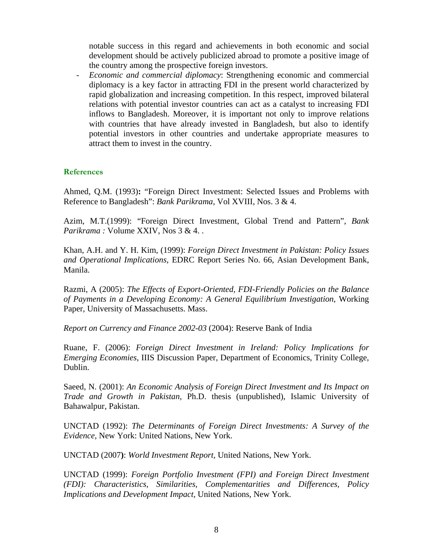notable success in this regard and achievements in both economic and social development should be actively publicized abroad to promote a positive image of the country among the prospective foreign investors.

- *Economic and commercial diplomacy*: Strengthening economic and commercial diplomacy is a key factor in attracting FDI in the present world characterized by rapid globalization and increasing competition. In this respect, improved bilateral relations with potential investor countries can act as a catalyst to increasing FDI inflows to Bangladesh. Moreover, it is important not only to improve relations with countries that have already invested in Bangladesh, but also to identify potential investors in other countries and undertake appropriate measures to attract them to invest in the country.

# **References**

Ahmed, Q.M. (1993)**:** "Foreign Direct Investment: Selected Issues and Problems with Reference to Bangladesh": *Bank Parikrama,* Vol XVIII, Nos. 3 & 4.

Azim, M.T.(1999): "Foreign Direct Investment, Global Trend and Pattern", *Bank Parikrama :* Volume XXIV, Nos 3 & 4. .

Khan, A.H. and Y. H. Kim, (1999): *Foreign Direct Investment in Pakistan: Policy Issues and Operational Implications*, EDRC Report Series No. 66, Asian Development Bank, Manila.

Razmi, A (2005): *The Effects of Export-Oriented, FDI-Friendly Policies on the Balance of Payments in a Developing Economy: A General Equilibrium Investigation*, Working Paper, University of Massachusetts. Mass.

*Report on Currency and Finance 2002-03* (2004): Reserve Bank of India

Ruane, F. (2006): *Foreign Direct Investment in Ireland: Policy Implications for Emerging Economies,* IIIS Discussion Paper, Department of Economics, Trinity College, Dublin.

Saeed, N. (2001): *An Economic Analysis of Foreign Direct Investment and Its Impact on Trade and Growth in Pakistan,* Ph.D. thesis (unpublished), Islamic University of Bahawalpur, Pakistan.

UNCTAD (1992): *The Determinants of Foreign Direct Investments: A Survey of the Evidence,* New York: United Nations, New York.

UNCTAD (2007**)**: *World Investment Report,* United Nations, New York.

UNCTAD (1999): *Foreign Portfolio Investment (FPI) and Foreign Direct Investment (FDI): Characteristics, Similarities, Complementarities and Differences, Policy Implications and Development Impact,* United Nations*,* New York.